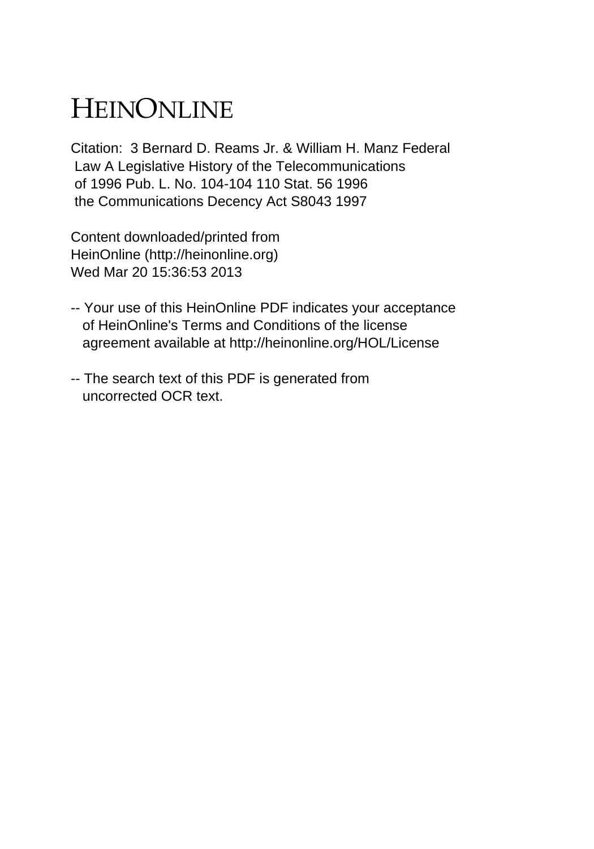# HEINONLINE

Citation: 3 Bernard D. Reams Jr. & William H. Manz Federal Law A Legislative History of the Telecommunications of 1996 Pub. L. No. 104-104 110 Stat. 56 1996 the Communications Decency Act S8043 1997

Content downloaded/printed from HeinOnline (http://heinonline.org) Wed Mar 20 15:36:53 2013

- -- Your use of this HeinOnline PDF indicates your acceptance of HeinOnline's Terms and Conditions of the license agreement available at http://heinonline.org/HOL/License
- -- The search text of this PDF is generated from uncorrected OCR text.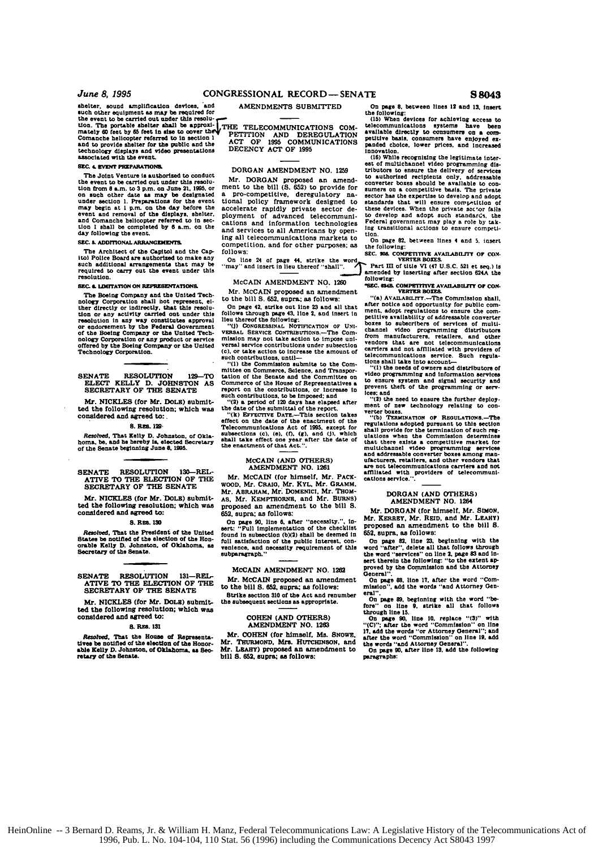**June 8, 1995 CONGRESSIONAL RECORD**—SENATE S 8043<br>
absiter, sound amplification devices, and MENDMENTS SUBMITTED on page 8, between lines 12 and 13, insert<br>
such other equipment as may be required for the server to be ca shelter, sound amplification devices, and a computer and the culture of the state of the state of the state of the event to be carried out under this resolution. The particle of the event to be carried out under this resol technology displays and video presentations **DECENCY ACT OF 1995 Innovation.** *Innovation*. **associated with the event. (16) Bylis recognizing the legitimate inter-**

may be earned out under this resolution. For the begin at a pro-competitive, deregulatory nation at the begin at 1 p.m. on the day before the accelerate rapidly private sector devices. The private sector is the private sec event and removal of the displays, shelter, ployment of advanced telecommuni-<br>and Comanche helicopter referred to in sec-<br>and Comanche helicopter referred to in sec-<br>cations and information technologies. Federal government

The Architect of the Capitol and the Cap-follows:<br>
itol Police 24 of page 44, strike the word of the Soon are authorized to make any online 24 of page 44, strike the word Police 2013.<br>
SEC. 2006 COMPETITIVE AVAILABILITY O

ther directly or indirectly, that this resolution on page 42, strike out line 23 and all that affect motics and portunity for public computations of the computations of a computation of any activity carried on the form res

## **AMENUATE RESOLUTION 130-REL.** AMENUALNY NO. IZM ATTACAIN **ALLY BELICY IN ACCAIN ATTACK SECRETARY OF THE BENATE WOOD, Mr. CRAIO, Mr. KYL, Mr. GRAMM.**

**SENATE RESOLUTION 131-REL**<br>**ATIVE TO THE ELECTION OF THE <b>MR. MCCAIN** proposed an amendment **On page 88**, line 17, after the word "Com-SECRATE RESOLUTION OF THE **Mr. MCCAIN** proposed an amendment <sup>of</sup> the page 88, line 17, after the word "Com-<br>SECRETARY OF THE SENATE **5. 652. supra; as follows: mission** in the Act and renumber  $\frac{1}{2}$ . and the words "

event and Comanche belicopter referred to in sec. cations and information technologies Fed<br>and Comanche belicopter referred to in sec. cations and information technologies Fed<br>day following the event.<br>day following the eve day following the event.<br>**SEC. A. ADDITIONAL ARRANGEMENTS.** competition, and for other purposes; as the following:<br>**EC. A. ADDITIONAL ARRANGEMENTS.** competition. and for other purposes; as

SEC. 4. LIMITATION ON REPRESENTATIONS.<br>
SEC. 4. LIMITATION ON REPRESENTATIONS.<br>
The Bosing Company and the United Tech.<br>
No the bill S. 652, supra; as follows: "(a) AvAILABLITY.~The Commission shall,<br>
The Tormission shall, The Boeing Company and the United Tech. Mr. MCCAIN proposed an amendment vERTER BOXES.<br>nology Corporation shall not represent, eight to the bill S. 652, supra; as follows: "(a) AVALLABILITY.--The Commission shall,

SECRETARY OF THE SENATE WOOD, Mr. CRAIG, Mr. KYL, Mr. GRAMM.<br>SECRETARY OF THE SENATE M. ABRAHAM, Mr. DOMENICI, Mr. THOM - DORGAN (AND OTHERS)<br>Mr. NICKLES (for Mr. Dols) submit- AS. Mr. KEMPTHORNS, and Mr. BURNS) - AMENDMEN ted the following resolution; which was proposed an amendment to the bill S. MRENDMENT NO. 1204<br>considered and agreed to: 652. supra: as follows: Mr. DORGAN (for himself. Mr. *SlMON.* 

S. RES. 130 01 page 90, line 6, after "necessity.", in-<br>Berolved, That the President of the United Secrit: "Full implementation of the checklist proposed an amendment to the bill S.<br>Resolved, That the President of the Uni conduct to the contract of Oklahoma, as ventions and necessity requirement of this word "after", delete all that follows through<br>Secretary of the Senate. Of Oklahoma, as ventioned, and necessity requirement of this word "a

tives be notified of the election of the Honor-Mr. THURMOND, Mrs. HUTCHINSON, and the words "and Attorney General".<br>able Kelly D. Johnston, of Oklahoma, as Sec-Mr. LEAHY) proposed an amendment to the words "and Attorney Ge

SEC. 4. EVENT PREPARATIONS.<br>The Joint Venture is authorized to conduct<br>the event to be carried out under this resolu-<br>the event to be carried out under this resolu-<br>the event to be carried out under this resolu-<br>the event

required to **carry** out the **event** under this **\_\_\_\_.\_amended by** Inserting after section 624A the **resolution.** McCAIN AMENDMENT **NO. 1260** following:

resolution is any way considered by the Pederal Government "(i) CONGRESSINAL NOTITICATION OF UNITED TRESPARE SECRETIVE TRESPARE TRESPARE TRESPARE TRESPARE TRESPARE TRESPARE TRESPARE TRESPARE TRESPARE TRESPARE TRESPARE TRE

Resolved, That Kelly D. Johnston, of Okla. subsections (e), (e), (e), and (i), which ulations when the Commission determines<br>from the enactment of that Act.".<br>On the Senate beginning June 8, 1995.<br>The enactment of that Act

sert therein the following: "to the extent **ap MCCAIN AMENDMENT NO.** 1282 proved **by** the Commission and the Attorney

Mr. NICKLES (for Mr. DoLE) submit-<br>
the subsequent sections as appropriate.<br>
the subsequent sections as appropriate.<br>
the form on line 9, strike all that follows<br>
considered and agreed to:<br>
8. RES. 131 AMENDMENT NO. 1263 (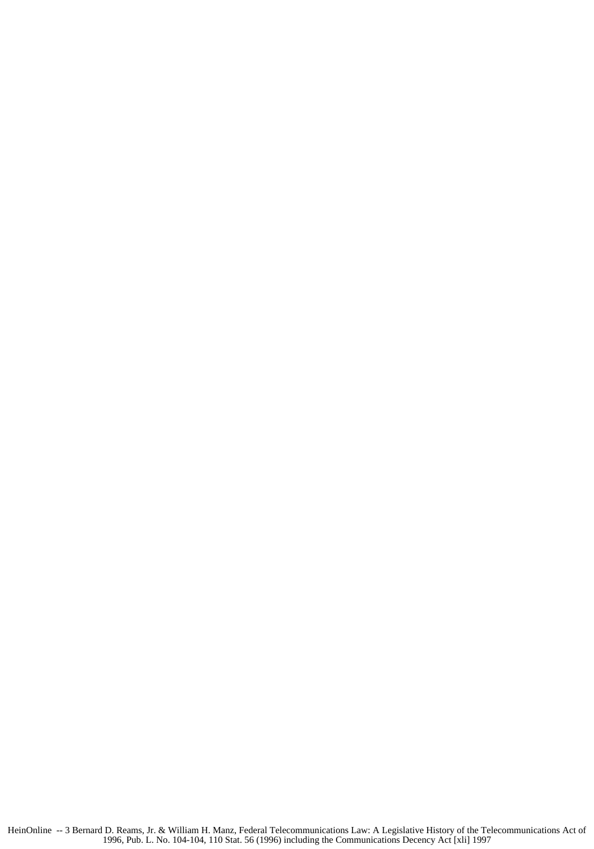HeinOnline -- 3 Bernard D. Reams, Jr. & William H. Manz, Federal Telecommunications Law: A Legislative History of the Telecommunications Act of 1996, Pub. L. No. 104-104, 110 Stat. 56 (1996) including the Communications Decency Act [xli] 1997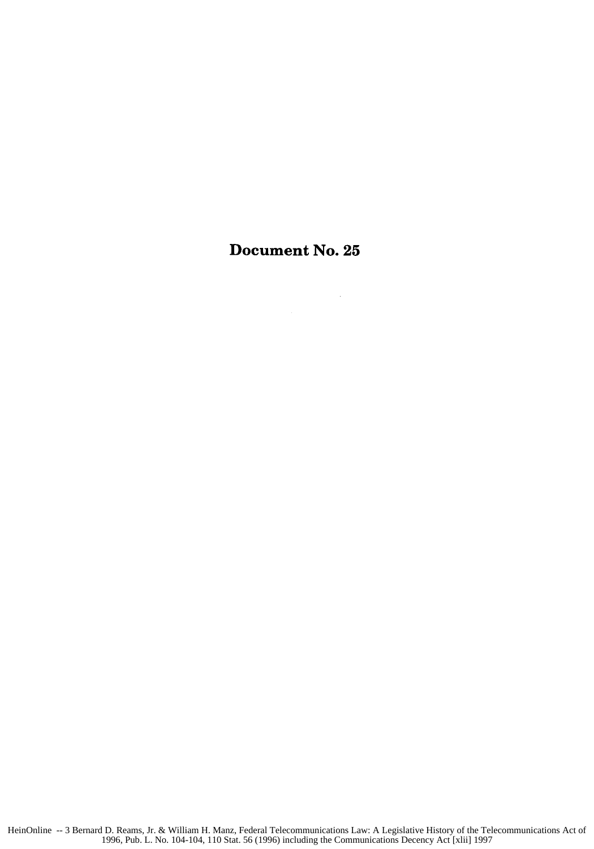Document No. **25**

 $\sim$